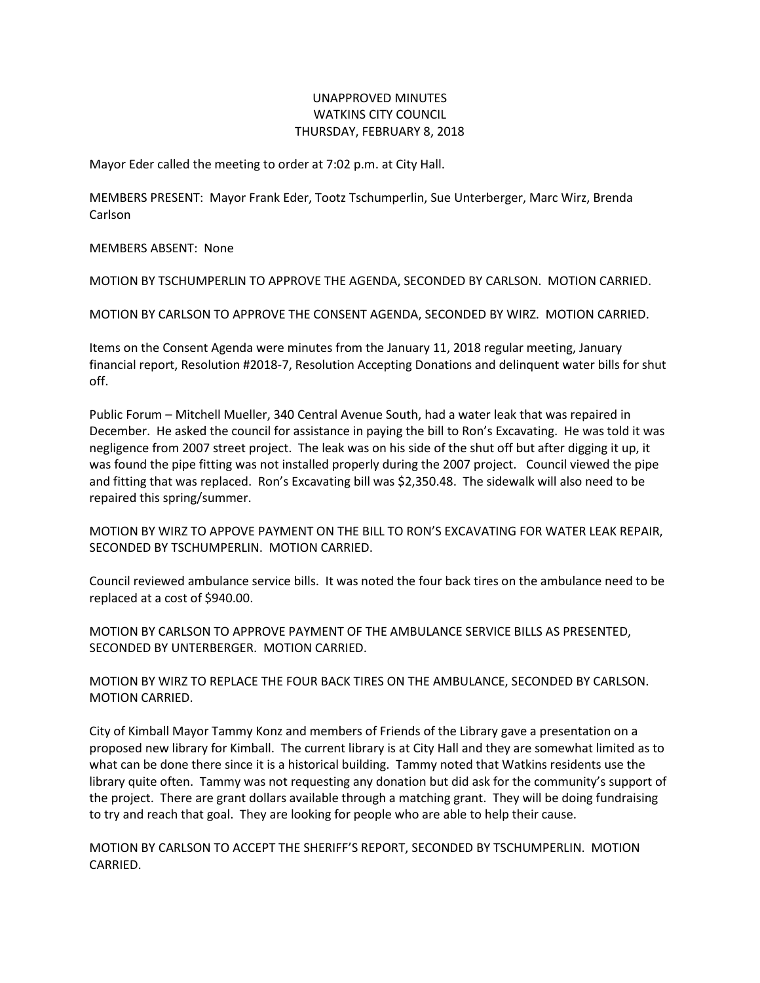## UNAPPROVED MINUTES WATKINS CITY COUNCIL THURSDAY, FEBRUARY 8, 2018

Mayor Eder called the meeting to order at 7:02 p.m. at City Hall.

MEMBERS PRESENT: Mayor Frank Eder, Tootz Tschumperlin, Sue Unterberger, Marc Wirz, Brenda Carlson

MEMBERS ABSENT: None

MOTION BY TSCHUMPERLIN TO APPROVE THE AGENDA, SECONDED BY CARLSON. MOTION CARRIED.

MOTION BY CARLSON TO APPROVE THE CONSENT AGENDA, SECONDED BY WIRZ. MOTION CARRIED.

Items on the Consent Agenda were minutes from the January 11, 2018 regular meeting, January financial report, Resolution #2018-7, Resolution Accepting Donations and delinquent water bills for shut off.

Public Forum – Mitchell Mueller, 340 Central Avenue South, had a water leak that was repaired in December. He asked the council for assistance in paying the bill to Ron's Excavating. He was told it was negligence from 2007 street project. The leak was on his side of the shut off but after digging it up, it was found the pipe fitting was not installed properly during the 2007 project. Council viewed the pipe and fitting that was replaced. Ron's Excavating bill was \$2,350.48. The sidewalk will also need to be repaired this spring/summer.

MOTION BY WIRZ TO APPOVE PAYMENT ON THE BILL TO RON'S EXCAVATING FOR WATER LEAK REPAIR, SECONDED BY TSCHUMPERLIN. MOTION CARRIED.

Council reviewed ambulance service bills. It was noted the four back tires on the ambulance need to be replaced at a cost of \$940.00.

MOTION BY CARLSON TO APPROVE PAYMENT OF THE AMBULANCE SERVICE BILLS AS PRESENTED, SECONDED BY UNTERBERGER. MOTION CARRIED.

MOTION BY WIRZ TO REPLACE THE FOUR BACK TIRES ON THE AMBULANCE, SECONDED BY CARLSON. MOTION CARRIED.

City of Kimball Mayor Tammy Konz and members of Friends of the Library gave a presentation on a proposed new library for Kimball. The current library is at City Hall and they are somewhat limited as to what can be done there since it is a historical building. Tammy noted that Watkins residents use the library quite often. Tammy was not requesting any donation but did ask for the community's support of the project. There are grant dollars available through a matching grant. They will be doing fundraising to try and reach that goal. They are looking for people who are able to help their cause.

MOTION BY CARLSON TO ACCEPT THE SHERIFF'S REPORT, SECONDED BY TSCHUMPERLIN. MOTION CARRIED.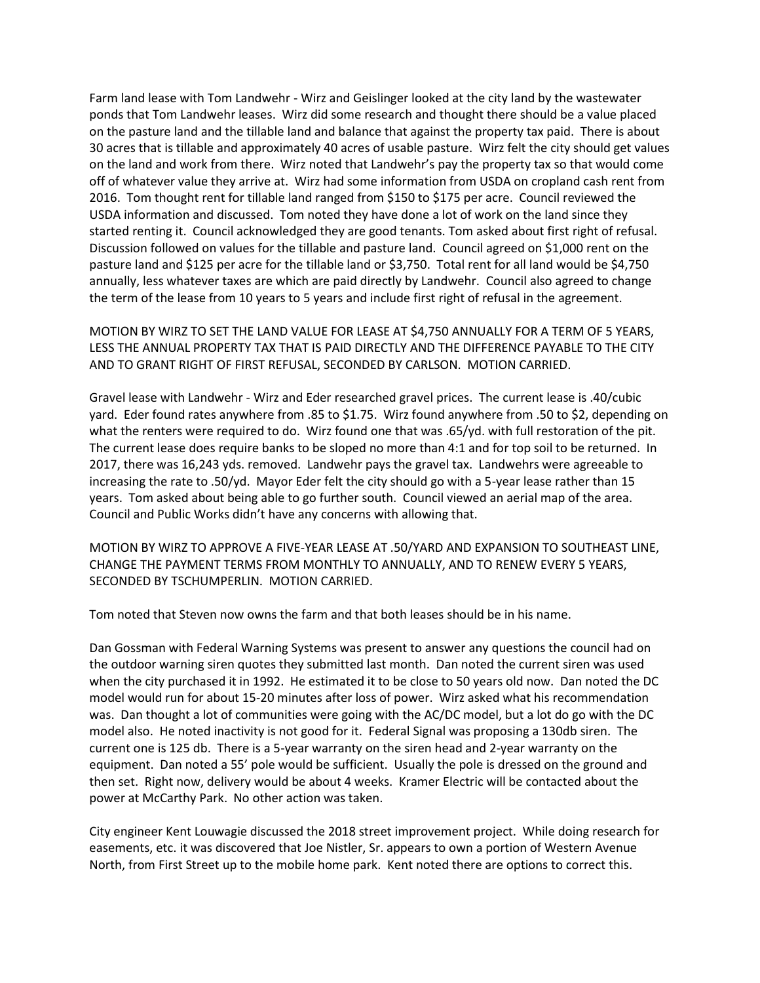Farm land lease with Tom Landwehr - Wirz and Geislinger looked at the city land by the wastewater ponds that Tom Landwehr leases. Wirz did some research and thought there should be a value placed on the pasture land and the tillable land and balance that against the property tax paid. There is about 30 acres that is tillable and approximately 40 acres of usable pasture. Wirz felt the city should get values on the land and work from there. Wirz noted that Landwehr's pay the property tax so that would come off of whatever value they arrive at. Wirz had some information from USDA on cropland cash rent from 2016. Tom thought rent for tillable land ranged from \$150 to \$175 per acre. Council reviewed the USDA information and discussed. Tom noted they have done a lot of work on the land since they started renting it. Council acknowledged they are good tenants. Tom asked about first right of refusal. Discussion followed on values for the tillable and pasture land. Council agreed on \$1,000 rent on the pasture land and \$125 per acre for the tillable land or \$3,750. Total rent for all land would be \$4,750 annually, less whatever taxes are which are paid directly by Landwehr. Council also agreed to change the term of the lease from 10 years to 5 years and include first right of refusal in the agreement.

MOTION BY WIRZ TO SET THE LAND VALUE FOR LEASE AT \$4,750 ANNUALLY FOR A TERM OF 5 YEARS, LESS THE ANNUAL PROPERTY TAX THAT IS PAID DIRECTLY AND THE DIFFERENCE PAYABLE TO THE CITY AND TO GRANT RIGHT OF FIRST REFUSAL, SECONDED BY CARLSON. MOTION CARRIED.

Gravel lease with Landwehr - Wirz and Eder researched gravel prices. The current lease is .40/cubic yard. Eder found rates anywhere from .85 to \$1.75. Wirz found anywhere from .50 to \$2, depending on what the renters were required to do. Wirz found one that was .65/yd. with full restoration of the pit. The current lease does require banks to be sloped no more than 4:1 and for top soil to be returned. In 2017, there was 16,243 yds. removed. Landwehr pays the gravel tax. Landwehrs were agreeable to increasing the rate to .50/yd. Mayor Eder felt the city should go with a 5-year lease rather than 15 years. Tom asked about being able to go further south. Council viewed an aerial map of the area. Council and Public Works didn't have any concerns with allowing that.

MOTION BY WIRZ TO APPROVE A FIVE-YEAR LEASE AT .50/YARD AND EXPANSION TO SOUTHEAST LINE, CHANGE THE PAYMENT TERMS FROM MONTHLY TO ANNUALLY, AND TO RENEW EVERY 5 YEARS, SECONDED BY TSCHUMPERLIN. MOTION CARRIED.

Tom noted that Steven now owns the farm and that both leases should be in his name.

Dan Gossman with Federal Warning Systems was present to answer any questions the council had on the outdoor warning siren quotes they submitted last month. Dan noted the current siren was used when the city purchased it in 1992. He estimated it to be close to 50 years old now. Dan noted the DC model would run for about 15-20 minutes after loss of power. Wirz asked what his recommendation was. Dan thought a lot of communities were going with the AC/DC model, but a lot do go with the DC model also. He noted inactivity is not good for it. Federal Signal was proposing a 130db siren. The current one is 125 db. There is a 5-year warranty on the siren head and 2-year warranty on the equipment. Dan noted a 55' pole would be sufficient. Usually the pole is dressed on the ground and then set. Right now, delivery would be about 4 weeks. Kramer Electric will be contacted about the power at McCarthy Park. No other action was taken.

City engineer Kent Louwagie discussed the 2018 street improvement project. While doing research for easements, etc. it was discovered that Joe Nistler, Sr. appears to own a portion of Western Avenue North, from First Street up to the mobile home park. Kent noted there are options to correct this.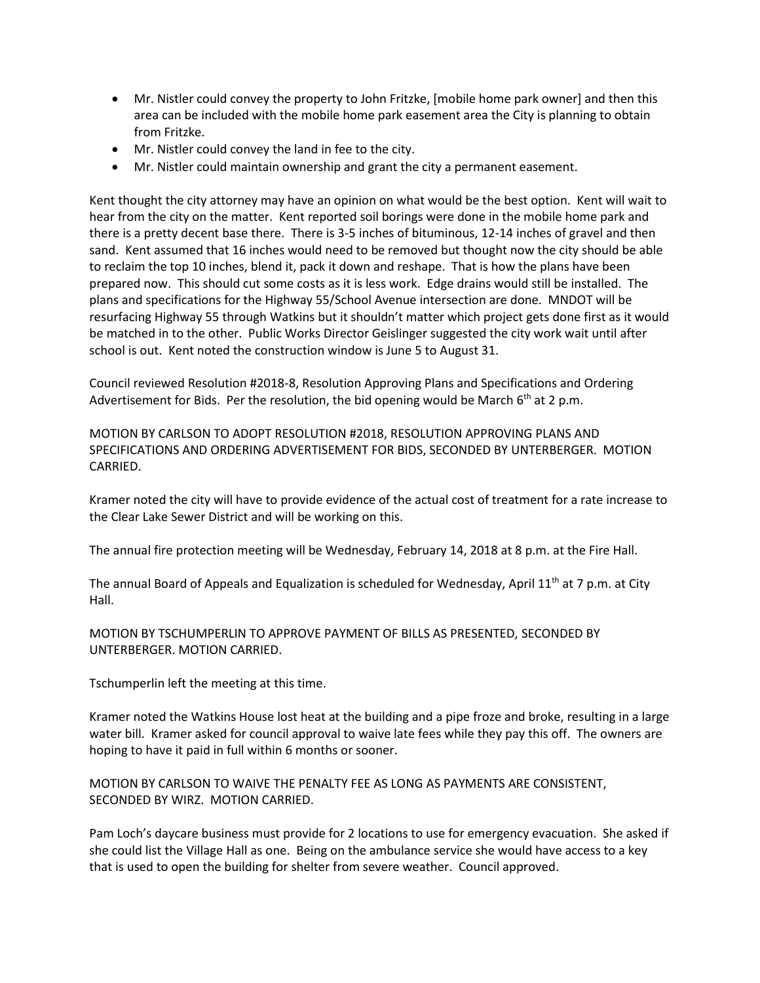- Mr. Nistler could convey the property to John Fritzke, [mobile home park owner] and then this area can be included with the mobile home park easement area the City is planning to obtain from Fritzke.
- Mr. Nistler could convey the land in fee to the city.
- Mr. Nistler could maintain ownership and grant the city a permanent easement.

Kent thought the city attorney may have an opinion on what would be the best option. Kent will wait to hear from the city on the matter. Kent reported soil borings were done in the mobile home park and there is a pretty decent base there. There is 3-5 inches of bituminous, 12-14 inches of gravel and then sand. Kent assumed that 16 inches would need to be removed but thought now the city should be able to reclaim the top 10 inches, blend it, pack it down and reshape. That is how the plans have been prepared now. This should cut some costs as it is less work. Edge drains would still be installed. The plans and specifications for the Highway 55/School Avenue intersection are done. MNDOT will be resurfacing Highway 55 through Watkins but it shouldn't matter which project gets done first as it would be matched in to the other. Public Works Director Geislinger suggested the city work wait until after school is out. Kent noted the construction window is June 5 to August 31.

Council reviewed Resolution #2018-8, Resolution Approving Plans and Specifications and Ordering Advertisement for Bids. Per the resolution, the bid opening would be March  $6<sup>th</sup>$  at 2 p.m.

MOTION BY CARLSON TO ADOPT RESOLUTION #2018, RESOLUTION APPROVING PLANS AND SPECIFICATIONS AND ORDERING ADVERTISEMENT FOR BIDS, SECONDED BY UNTERBERGER. MOTION CARRIED.

Kramer noted the city will have to provide evidence of the actual cost of treatment for a rate increase to the Clear Lake Sewer District and will be working on this.

The annual fire protection meeting will be Wednesday, February 14, 2018 at 8 p.m. at the Fire Hall.

The annual Board of Appeals and Equalization is scheduled for Wednesday, April 11<sup>th</sup> at 7 p.m. at City Hall.

MOTION BY TSCHUMPERLIN TO APPROVE PAYMENT OF BILLS AS PRESENTED, SECONDED BY UNTERBERGER. MOTION CARRIED.

Tschumperlin left the meeting at this time.

Kramer noted the Watkins House lost heat at the building and a pipe froze and broke, resulting in a large water bill. Kramer asked for council approval to waive late fees while they pay this off. The owners are hoping to have it paid in full within 6 months or sooner.

MOTION BY CARLSON TO WAIVE THE PENALTY FEE AS LONG AS PAYMENTS ARE CONSISTENT, SECONDED BY WIRZ. MOTION CARRIED.

Pam Loch's daycare business must provide for 2 locations to use for emergency evacuation. She asked if she could list the Village Hall as one. Being on the ambulance service she would have access to a key that is used to open the building for shelter from severe weather. Council approved.